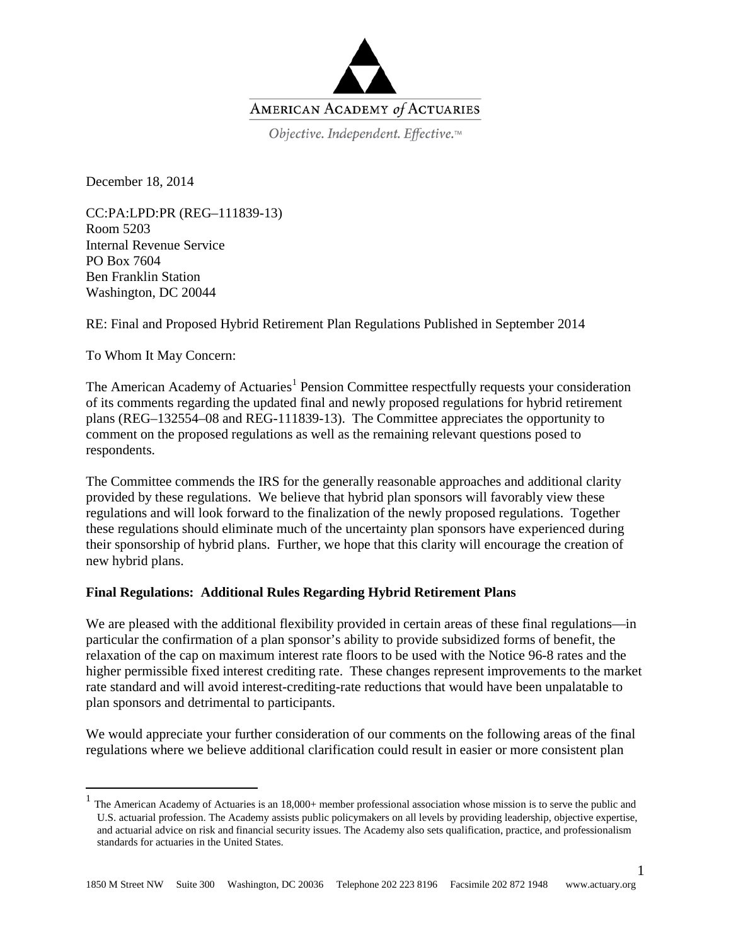

Objective. Independent. Effective.™

December 18, 2014

CC:PA:LPD:PR (REG–111839-13) Room 5203 Internal Revenue Service PO Box 7604 Ben Franklin Station Washington, DC 20044

RE: Final and Proposed Hybrid Retirement Plan Regulations Published in September 2014

To Whom It May Concern:

The American Academy of Actuaries<sup>[1](#page-0-0)</sup> Pension Committee respectfully requests your consideration of its comments regarding the updated final and newly proposed regulations for hybrid retirement plans (REG–132554–08 and REG-111839-13). The Committee appreciates the opportunity to comment on the proposed regulations as well as the remaining relevant questions posed to respondents.

The Committee commends the IRS for the generally reasonable approaches and additional clarity provided by these regulations. We believe that hybrid plan sponsors will favorably view these regulations and will look forward to the finalization of the newly proposed regulations. Together these regulations should eliminate much of the uncertainty plan sponsors have experienced during their sponsorship of hybrid plans. Further, we hope that this clarity will encourage the creation of new hybrid plans.

## **Final Regulations: Additional Rules Regarding Hybrid Retirement Plans**

We are pleased with the additional flexibility provided in certain areas of these final regulations—in particular the confirmation of a plan sponsor's ability to provide subsidized forms of benefit, the relaxation of the cap on maximum interest rate floors to be used with the Notice 96-8 rates and the higher permissible fixed interest crediting rate. These changes represent improvements to the market rate standard and will avoid interest-crediting-rate reductions that would have been unpalatable to plan sponsors and detrimental to participants.

We would appreciate your further consideration of our comments on the following areas of the final regulations where we believe additional clarification could result in easier or more consistent plan

1

<span id="page-0-0"></span> <sup>1</sup> The American Academy of Actuaries is an 18,000+ member professional association whose mission is to serve the public and U.S. actuarial profession. The Academy assists public policymakers on all levels by providing leadership, objective expertise, and actuarial advice on risk and financial security issues. The Academy also sets qualification, practice, and professionalism standards for actuaries in the United States.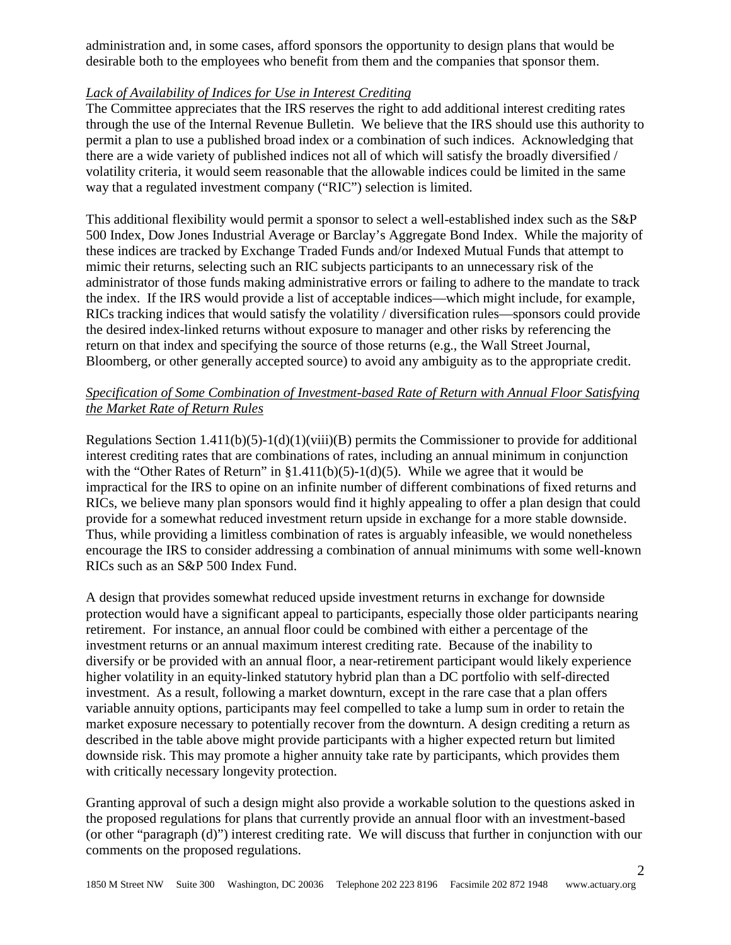administration and, in some cases, afford sponsors the opportunity to design plans that would be desirable both to the employees who benefit from them and the companies that sponsor them.

## *Lack of Availability of Indices for Use in Interest Crediting*

The Committee appreciates that the IRS reserves the right to add additional interest crediting rates through the use of the Internal Revenue Bulletin. We believe that the IRS should use this authority to permit a plan to use a published broad index or a combination of such indices. Acknowledging that there are a wide variety of published indices not all of which will satisfy the broadly diversified / volatility criteria, it would seem reasonable that the allowable indices could be limited in the same way that a regulated investment company ("RIC") selection is limited.

This additional flexibility would permit a sponsor to select a well-established index such as the S&P 500 Index, Dow Jones Industrial Average or Barclay's Aggregate Bond Index. While the majority of these indices are tracked by Exchange Traded Funds and/or Indexed Mutual Funds that attempt to mimic their returns, selecting such an RIC subjects participants to an unnecessary risk of the administrator of those funds making administrative errors or failing to adhere to the mandate to track the index. If the IRS would provide a list of acceptable indices—which might include, for example, RICs tracking indices that would satisfy the volatility / diversification rules—sponsors could provide the desired index-linked returns without exposure to manager and other risks by referencing the return on that index and specifying the source of those returns (e.g., the Wall Street Journal, Bloomberg, or other generally accepted source) to avoid any ambiguity as to the appropriate credit.

# *Specification of Some Combination of Investment-based Rate of Return with Annual Floor Satisfying the Market Rate of Return Rules*

Regulations Section  $1.411(b)(5)-1(d)(1)(viii)(B)$  permits the Commissioner to provide for additional interest crediting rates that are combinations of rates, including an annual minimum in conjunction with the "Other Rates of Return" in  $$1.411(b)(5)-1(d)(5)$ . While we agree that it would be impractical for the IRS to opine on an infinite number of different combinations of fixed returns and RICs, we believe many plan sponsors would find it highly appealing to offer a plan design that could provide for a somewhat reduced investment return upside in exchange for a more stable downside. Thus, while providing a limitless combination of rates is arguably infeasible, we would nonetheless encourage the IRS to consider addressing a combination of annual minimums with some well-known RICs such as an S&P 500 Index Fund.

A design that provides somewhat reduced upside investment returns in exchange for downside protection would have a significant appeal to participants, especially those older participants nearing retirement. For instance, an annual floor could be combined with either a percentage of the investment returns or an annual maximum interest crediting rate. Because of the inability to diversify or be provided with an annual floor, a near-retirement participant would likely experience higher volatility in an equity-linked statutory hybrid plan than a DC portfolio with self-directed investment. As a result, following a market downturn, except in the rare case that a plan offers variable annuity options, participants may feel compelled to take a lump sum in order to retain the market exposure necessary to potentially recover from the downturn. A design crediting a return as described in the table above might provide participants with a higher expected return but limited downside risk. This may promote a higher annuity take rate by participants, which provides them with critically necessary longevity protection.

Granting approval of such a design might also provide a workable solution to the questions asked in the proposed regulations for plans that currently provide an annual floor with an investment-based (or other "paragraph (d)") interest crediting rate. We will discuss that further in conjunction with our comments on the proposed regulations.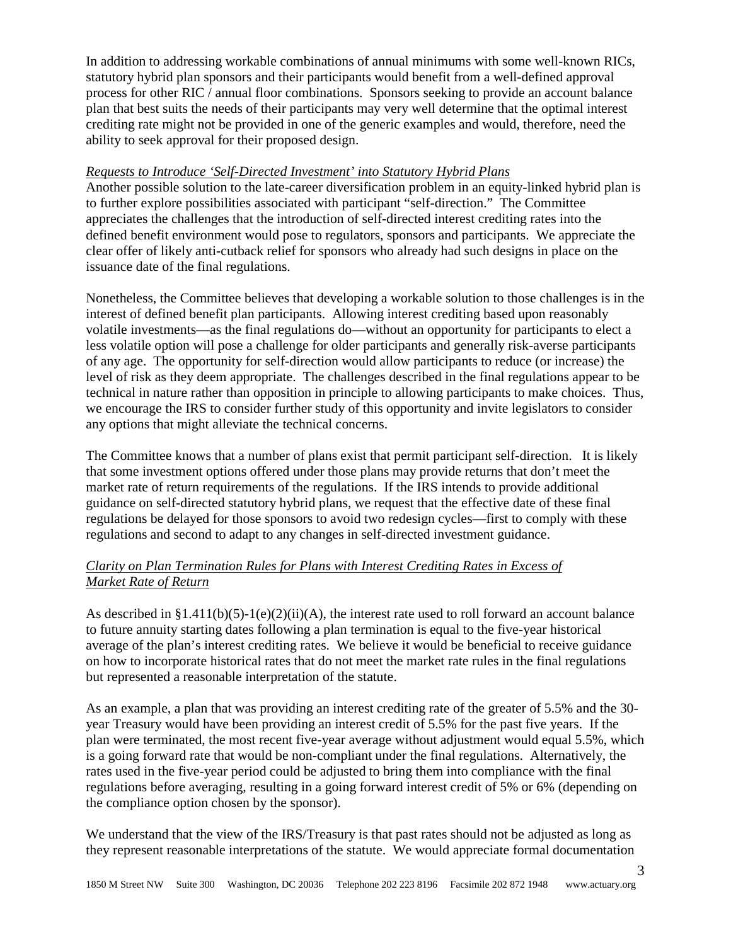In addition to addressing workable combinations of annual minimums with some well-known RICs, statutory hybrid plan sponsors and their participants would benefit from a well-defined approval process for other RIC / annual floor combinations. Sponsors seeking to provide an account balance plan that best suits the needs of their participants may very well determine that the optimal interest crediting rate might not be provided in one of the generic examples and would, therefore, need the ability to seek approval for their proposed design.

# *Requests to Introduce 'Self-Directed Investment' into Statutory Hybrid Plans*

Another possible solution to the late-career diversification problem in an equity-linked hybrid plan is to further explore possibilities associated with participant "self-direction." The Committee appreciates the challenges that the introduction of self-directed interest crediting rates into the defined benefit environment would pose to regulators, sponsors and participants. We appreciate the clear offer of likely anti-cutback relief for sponsors who already had such designs in place on the issuance date of the final regulations.

Nonetheless, the Committee believes that developing a workable solution to those challenges is in the interest of defined benefit plan participants. Allowing interest crediting based upon reasonably volatile investments—as the final regulations do—without an opportunity for participants to elect a less volatile option will pose a challenge for older participants and generally risk-averse participants of any age. The opportunity for self-direction would allow participants to reduce (or increase) the level of risk as they deem appropriate. The challenges described in the final regulations appear to be technical in nature rather than opposition in principle to allowing participants to make choices. Thus, we encourage the IRS to consider further study of this opportunity and invite legislators to consider any options that might alleviate the technical concerns.

The Committee knows that a number of plans exist that permit participant self-direction. It is likely that some investment options offered under those plans may provide returns that don't meet the market rate of return requirements of the regulations. If the IRS intends to provide additional guidance on self-directed statutory hybrid plans, we request that the effective date of these final regulations be delayed for those sponsors to avoid two redesign cycles—first to comply with these regulations and second to adapt to any changes in self-directed investment guidance.

# *Clarity on Plan Termination Rules for Plans with Interest Crediting Rates in Excess of Market Rate of Return*

As described in  $\S 1.411(b)(5)-1(e)(2)(ii)(A)$ , the interest rate used to roll forward an account balance to future annuity starting dates following a plan termination is equal to the five-year historical average of the plan's interest crediting rates. We believe it would be beneficial to receive guidance on how to incorporate historical rates that do not meet the market rate rules in the final regulations but represented a reasonable interpretation of the statute.

As an example, a plan that was providing an interest crediting rate of the greater of 5.5% and the 30 year Treasury would have been providing an interest credit of 5.5% for the past five years. If the plan were terminated, the most recent five-year average without adjustment would equal 5.5%, which is a going forward rate that would be non-compliant under the final regulations. Alternatively, the rates used in the five-year period could be adjusted to bring them into compliance with the final regulations before averaging, resulting in a going forward interest credit of 5% or 6% (depending on the compliance option chosen by the sponsor).

We understand that the view of the IRS/Treasury is that past rates should not be adjusted as long as they represent reasonable interpretations of the statute. We would appreciate formal documentation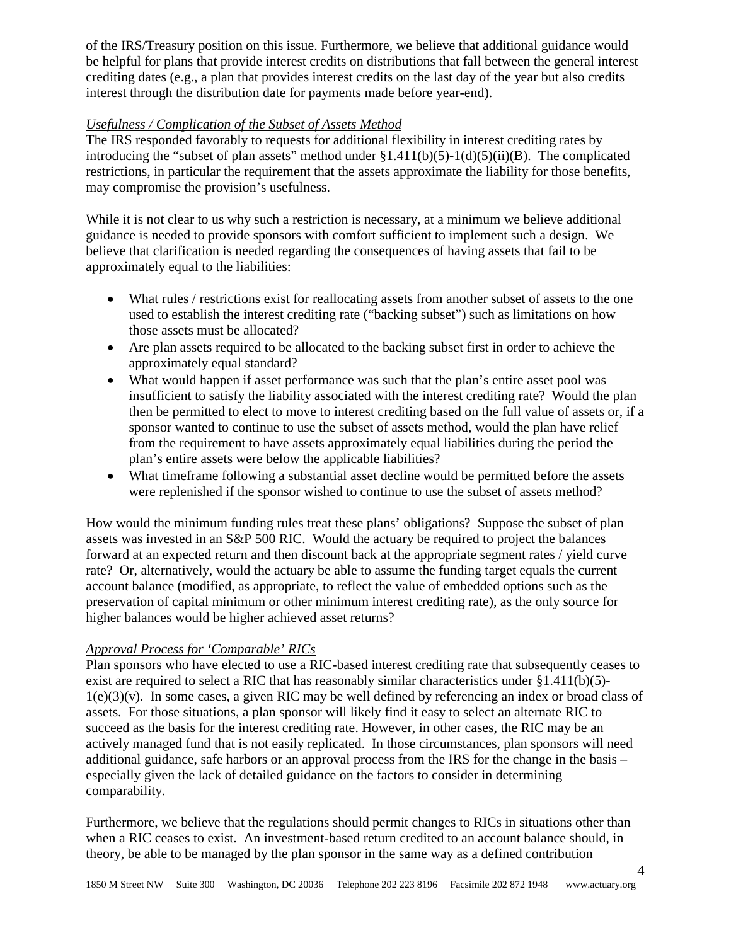of the IRS/Treasury position on this issue. Furthermore, we believe that additional guidance would be helpful for plans that provide interest credits on distributions that fall between the general interest crediting dates (e.g., a plan that provides interest credits on the last day of the year but also credits interest through the distribution date for payments made before year-end).

# *Usefulness / Complication of the Subset of Assets Method*

The IRS responded favorably to requests for additional flexibility in interest crediting rates by introducing the "subset of plan assets" method under §1.411(b)(5)-1(d)(5)(ii)(B). The complicated restrictions, in particular the requirement that the assets approximate the liability for those benefits, may compromise the provision's usefulness.

While it is not clear to us why such a restriction is necessary, at a minimum we believe additional guidance is needed to provide sponsors with comfort sufficient to implement such a design. We believe that clarification is needed regarding the consequences of having assets that fail to be approximately equal to the liabilities:

- What rules / restrictions exist for reallocating assets from another subset of assets to the one used to establish the interest crediting rate ("backing subset") such as limitations on how those assets must be allocated?
- Are plan assets required to be allocated to the backing subset first in order to achieve the approximately equal standard?
- What would happen if asset performance was such that the plan's entire asset pool was insufficient to satisfy the liability associated with the interest crediting rate? Would the plan then be permitted to elect to move to interest crediting based on the full value of assets or, if a sponsor wanted to continue to use the subset of assets method, would the plan have relief from the requirement to have assets approximately equal liabilities during the period the plan's entire assets were below the applicable liabilities?
- What timeframe following a substantial asset decline would be permitted before the assets were replenished if the sponsor wished to continue to use the subset of assets method?

How would the minimum funding rules treat these plans' obligations? Suppose the subset of plan assets was invested in an S&P 500 RIC. Would the actuary be required to project the balances forward at an expected return and then discount back at the appropriate segment rates / yield curve rate? Or, alternatively, would the actuary be able to assume the funding target equals the current account balance (modified, as appropriate, to reflect the value of embedded options such as the preservation of capital minimum or other minimum interest crediting rate), as the only source for higher balances would be higher achieved asset returns?

# *Approval Process for 'Comparable' RICs*

Plan sponsors who have elected to use a RIC-based interest crediting rate that subsequently ceases to exist are required to select a RIC that has reasonably similar characteristics under  $\S1.411(b)(5)$ - $1(e)(3)(v)$ . In some cases, a given RIC may be well defined by referencing an index or broad class of assets. For those situations, a plan sponsor will likely find it easy to select an alternate RIC to succeed as the basis for the interest crediting rate. However, in other cases, the RIC may be an actively managed fund that is not easily replicated. In those circumstances, plan sponsors will need additional guidance, safe harbors or an approval process from the IRS for the change in the basis – especially given the lack of detailed guidance on the factors to consider in determining comparability.

Furthermore, we believe that the regulations should permit changes to RICs in situations other than when a RIC ceases to exist. An investment-based return credited to an account balance should, in theory, be able to be managed by the plan sponsor in the same way as a defined contribution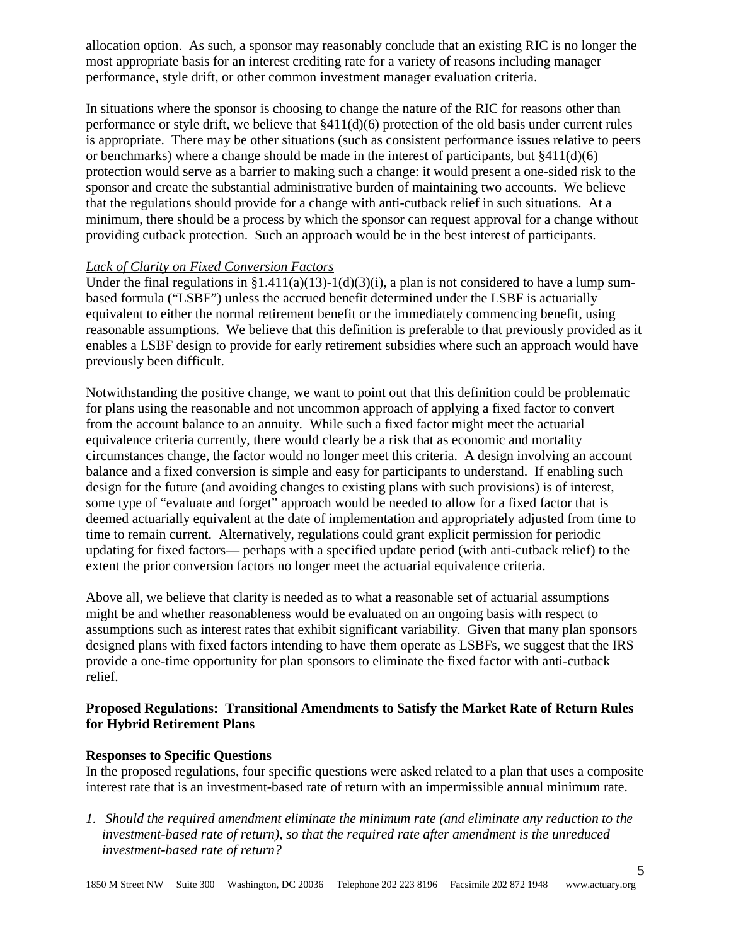allocation option. As such, a sponsor may reasonably conclude that an existing RIC is no longer the most appropriate basis for an interest crediting rate for a variety of reasons including manager performance, style drift, or other common investment manager evaluation criteria.

In situations where the sponsor is choosing to change the nature of the RIC for reasons other than performance or style drift, we believe that §411(d)(6) protection of the old basis under current rules is appropriate. There may be other situations (such as consistent performance issues relative to peers or benchmarks) where a change should be made in the interest of participants, but  $\frac{8411}{d}(6)$ protection would serve as a barrier to making such a change: it would present a one-sided risk to the sponsor and create the substantial administrative burden of maintaining two accounts. We believe that the regulations should provide for a change with anti-cutback relief in such situations. At a minimum, there should be a process by which the sponsor can request approval for a change without providing cutback protection. Such an approach would be in the best interest of participants.

## *Lack of Clarity on Fixed Conversion Factors*

Under the final regulations in §1.411(a)(13)-1(d)(3)(i), a plan is not considered to have a lump sumbased formula ("LSBF") unless the accrued benefit determined under the LSBF is actuarially equivalent to either the normal retirement benefit or the immediately commencing benefit, using reasonable assumptions. We believe that this definition is preferable to that previously provided as it enables a LSBF design to provide for early retirement subsidies where such an approach would have previously been difficult.

Notwithstanding the positive change, we want to point out that this definition could be problematic for plans using the reasonable and not uncommon approach of applying a fixed factor to convert from the account balance to an annuity. While such a fixed factor might meet the actuarial equivalence criteria currently, there would clearly be a risk that as economic and mortality circumstances change, the factor would no longer meet this criteria. A design involving an account balance and a fixed conversion is simple and easy for participants to understand. If enabling such design for the future (and avoiding changes to existing plans with such provisions) is of interest, some type of "evaluate and forget" approach would be needed to allow for a fixed factor that is deemed actuarially equivalent at the date of implementation and appropriately adjusted from time to time to remain current. Alternatively, regulations could grant explicit permission for periodic updating for fixed factors— perhaps with a specified update period (with anti-cutback relief) to the extent the prior conversion factors no longer meet the actuarial equivalence criteria.

Above all, we believe that clarity is needed as to what a reasonable set of actuarial assumptions might be and whether reasonableness would be evaluated on an ongoing basis with respect to assumptions such as interest rates that exhibit significant variability. Given that many plan sponsors designed plans with fixed factors intending to have them operate as LSBFs, we suggest that the IRS provide a one-time opportunity for plan sponsors to eliminate the fixed factor with anti-cutback relief.

## **Proposed Regulations: Transitional Amendments to Satisfy the Market Rate of Return Rules for Hybrid Retirement Plans**

#### **Responses to Specific Questions**

In the proposed regulations, four specific questions were asked related to a plan that uses a composite interest rate that is an investment-based rate of return with an impermissible annual minimum rate.

*1. Should the required amendment eliminate the minimum rate (and eliminate any reduction to the investment-based rate of return), so that the required rate after amendment is the unreduced investment-based rate of return?*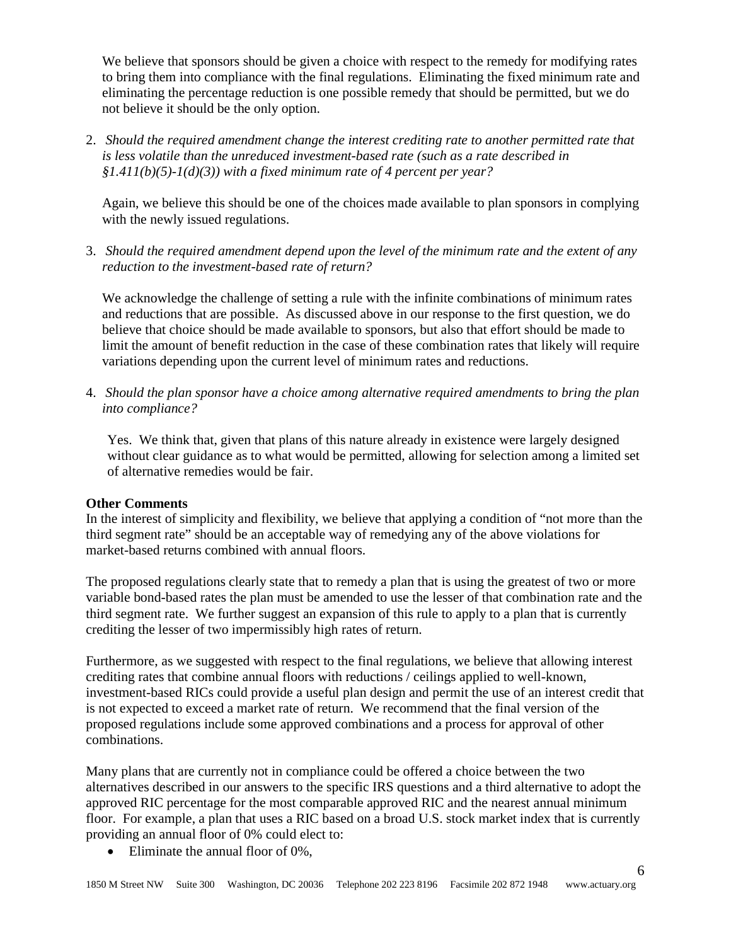We believe that sponsors should be given a choice with respect to the remedy for modifying rates to bring them into compliance with the final regulations. Eliminating the fixed minimum rate and eliminating the percentage reduction is one possible remedy that should be permitted, but we do not believe it should be the only option.

2. *Should the required amendment change the interest crediting rate to another permitted rate that is less volatile than the unreduced investment-based rate (such as a rate described in §1.411(b)(5)-1(d)(3)) with a fixed minimum rate of 4 percent per year?*

Again, we believe this should be one of the choices made available to plan sponsors in complying with the newly issued regulations.

3. *Should the required amendment depend upon the level of the minimum rate and the extent of any reduction to the investment-based rate of return?*

We acknowledge the challenge of setting a rule with the infinite combinations of minimum rates and reductions that are possible. As discussed above in our response to the first question, we do believe that choice should be made available to sponsors, but also that effort should be made to limit the amount of benefit reduction in the case of these combination rates that likely will require variations depending upon the current level of minimum rates and reductions.

4. *Should the plan sponsor have a choice among alternative required amendments to bring the plan into compliance?*

Yes. We think that, given that plans of this nature already in existence were largely designed without clear guidance as to what would be permitted, allowing for selection among a limited set of alternative remedies would be fair.

#### **Other Comments**

In the interest of simplicity and flexibility, we believe that applying a condition of "not more than the third segment rate" should be an acceptable way of remedying any of the above violations for market-based returns combined with annual floors.

The proposed regulations clearly state that to remedy a plan that is using the greatest of two or more variable bond-based rates the plan must be amended to use the lesser of that combination rate and the third segment rate. We further suggest an expansion of this rule to apply to a plan that is currently crediting the lesser of two impermissibly high rates of return.

Furthermore, as we suggested with respect to the final regulations, we believe that allowing interest crediting rates that combine annual floors with reductions / ceilings applied to well-known, investment-based RICs could provide a useful plan design and permit the use of an interest credit that is not expected to exceed a market rate of return. We recommend that the final version of the proposed regulations include some approved combinations and a process for approval of other combinations.

Many plans that are currently not in compliance could be offered a choice between the two alternatives described in our answers to the specific IRS questions and a third alternative to adopt the approved RIC percentage for the most comparable approved RIC and the nearest annual minimum floor. For example, a plan that uses a RIC based on a broad U.S. stock market index that is currently providing an annual floor of 0% could elect to:

• Eliminate the annual floor of 0%,